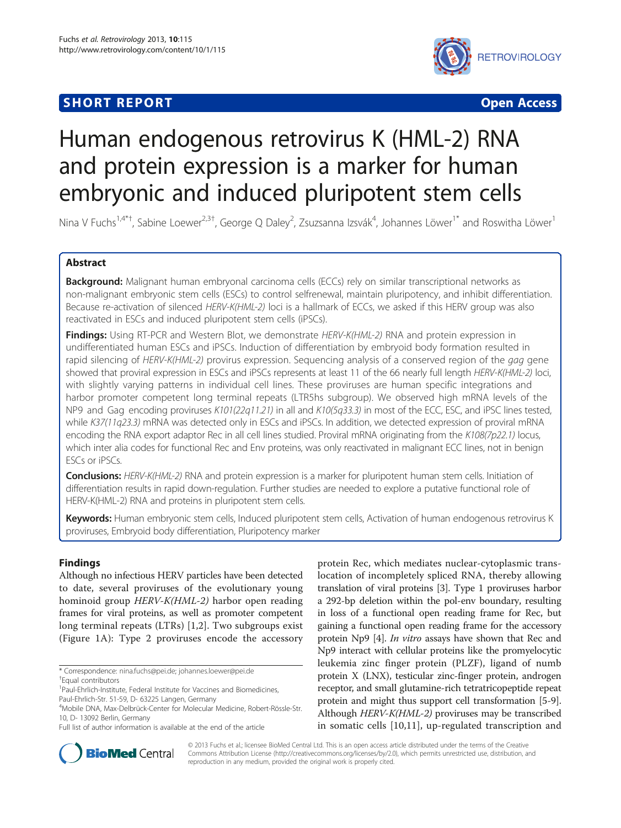## **SHORT REPORT CONTRACT CONTRACT CONTRACT CONTRACT CONTRACT CONTRACT CONTRACT CONTRACT CONTRACT CONTRACT CONTRACT CONTRACT CONTRACT CONTRACT CONTRACT CONTRACT CONTRACT CONTRACT CONTRACT CONTRACT CONTRACT CONTRACT CONTRACT C**



# Human endogenous retrovirus K (HML-2) RNA and protein expression is a marker for human embryonic and induced pluripotent stem cells

Nina V Fuchs<sup>1,4\*†</sup>, Sabine Loewer<sup>2,3†</sup>, George Q Daley<sup>2</sup>, Zsuzsanna Izsvák<sup>4</sup>, Johannes Löwer<sup>1\*</sup> and Roswitha Löwer<sup>1</sup>

## Abstract

Background: Malignant human embryonal carcinoma cells (ECCs) rely on similar transcriptional networks as non-malignant embryonic stem cells (ESCs) to control selfrenewal, maintain pluripotency, and inhibit differentiation. Because re-activation of silenced HERV-K(HML-2) loci is a hallmark of ECCs, we asked if this HERV group was also reactivated in ESCs and induced pluripotent stem cells (iPSCs).

Findings: Using RT-PCR and Western Blot, we demonstrate HERV-K(HML-2) RNA and protein expression in undifferentiated human ESCs and iPSCs. Induction of differentiation by embryoid body formation resulted in rapid silencing of HERV-K(HML-2) provirus expression. Sequencing analysis of a conserved region of the gag gene showed that proviral expression in ESCs and iPSCs represents at least 11 of the 66 nearly full length HERV-K(HML-2) loci, with slightly varying patterns in individual cell lines. These proviruses are human specific integrations and harbor promoter competent long terminal repeats (LTR5hs subgroup). We observed high mRNA levels of the NP9 and Gag encoding proviruses K101(22q11.21) in all and K10(5q33.3) in most of the ECC, ESC, and iPSC lines tested, while K37(11q23.3) mRNA was detected only in ESCs and iPSCs. In addition, we detected expression of proviral mRNA encoding the RNA export adaptor Rec in all cell lines studied. Proviral mRNA originating from the K108(7p22.1) locus, which inter alia codes for functional Rec and Env proteins, was only reactivated in malignant ECC lines, not in benign ESCs or iPSCs.

Conclusions: HERV-K(HML-2) RNA and protein expression is a marker for pluripotent human stem cells. Initiation of differentiation results in rapid down-regulation. Further studies are needed to explore a putative functional role of HERV-K(HML-2) RNA and proteins in pluripotent stem cells.

Keywords: Human embryonic stem cells, Induced pluripotent stem cells, Activation of human endogenous retrovirus K proviruses, Embryoid body differentiation, Pluripotency marker

## Findings

Although no infectious HERV particles have been detected to date, several proviruses of the evolutionary young hominoid group HERV-K(HML-2) harbor open reading frames for viral proteins, as well as promoter competent long terminal repeats (LTRs) [[1](#page-4-0)[,2](#page-5-0)]. Two subgroups exist (Figure [1](#page-1-0)A): Type 2 proviruses encode the accessory

Paul-Ehrlich-Str. 51-59, D- 63225 Langen, Germany

protein Rec, which mediates nuclear-cytoplasmic translocation of incompletely spliced RNA, thereby allowing translation of viral proteins [\[3\]](#page-5-0). Type 1 proviruses harbor a 292-bp deletion within the pol-env boundary, resulting in loss of a functional open reading frame for Rec, but gaining a functional open reading frame for the accessory protein Np9 [\[4\]](#page-5-0). In vitro assays have shown that Rec and Np9 interact with cellular proteins like the promyelocytic leukemia zinc finger protein (PLZF), ligand of numb protein X (LNX), testicular zinc-finger protein, androgen receptor, and small glutamine-rich tetratricopeptide repeat protein and might thus support cell transformation [\[5](#page-5-0)-[9](#page-5-0)]. Although HERV-K(HML-2) proviruses may be transcribed in somatic cells [[10,11\]](#page-5-0), up-regulated transcription and



© 2013 Fuchs et al.; licensee BioMed Central Ltd. This is an open access article distributed under the terms of the Creative Commons Attribution License [\(http://creativecommons.org/licenses/by/2.0\)](http://creativecommons.org/licenses/by/2.0), which permits unrestricted use, distribution, and reproduction in any medium, provided the original work is properly cited.

<sup>\*</sup> Correspondence: [nina.fuchs@pei.de](mailto:nina.fuchs@pei.de); [johannes.loewer@pei.de](mailto:johannes.loewer@pei.de) †

Equal contributors

<sup>&</sup>lt;sup>1</sup>Paul-Ehrlich-Institute, Federal Institute for Vaccines and Biomedicines,

<sup>4</sup> Mobile DNA, Max-Delbrück-Center for Molecular Medicine, Robert-Rössle-Str. 10, D- 13092 Berlin, Germany

Full list of author information is available at the end of the article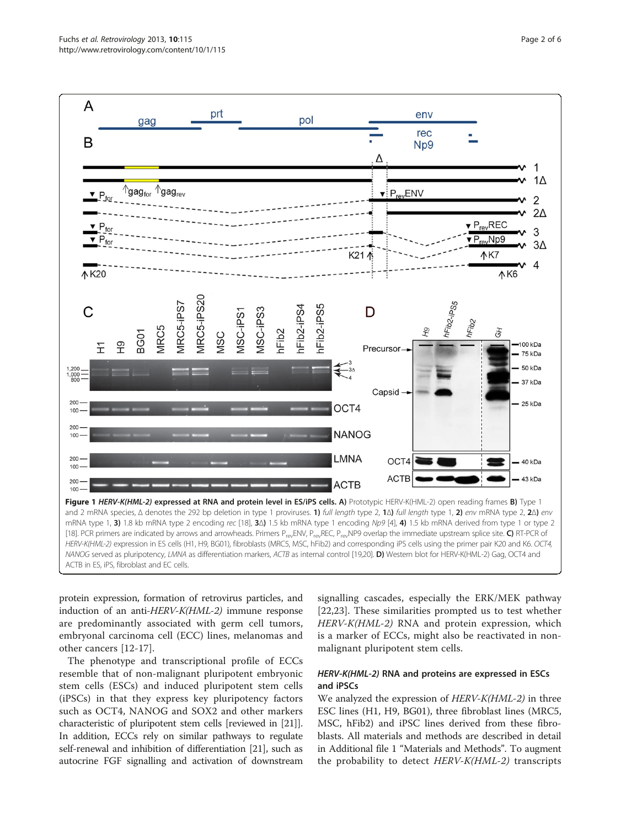<span id="page-1-0"></span>

protein expression, formation of retrovirus particles, and induction of an anti-HERV-K(HML-2) immune response are predominantly associated with germ cell tumors, embryonal carcinoma cell (ECC) lines, melanomas and other cancers [\[12](#page-5-0)-[17\]](#page-5-0).

The phenotype and transcriptional profile of ECCs resemble that of non-malignant pluripotent embryonic stem cells (ESCs) and induced pluripotent stem cells (iPSCs) in that they express key pluripotency factors such as OCT4, NANOG and SOX2 and other markers characteristic of pluripotent stem cells [reviewed in [[21](#page-5-0)]]. In addition, ECCs rely on similar pathways to regulate self-renewal and inhibition of differentiation [\[21\]](#page-5-0), such as autocrine FGF signalling and activation of downstream

signalling cascades, especially the ERK/MEK pathway [[22,23](#page-5-0)]. These similarities prompted us to test whether HERV-K(HML-2) RNA and protein expression, which is a marker of ECCs, might also be reactivated in nonmalignant pluripotent stem cells.

## HERV-K(HML-2) RNA and proteins are expressed in ESCs and iPSCs

We analyzed the expression of HERV-K(HML-2) in three ESC lines (H1, H9, BG01), three fibroblast lines (MRC5, MSC, hFib2) and iPSC lines derived from these fibroblasts. All materials and methods are described in detail in Additional file [1](#page-4-0) "Materials and Methods". To augment the probability to detect HERV-K(HML-2) transcripts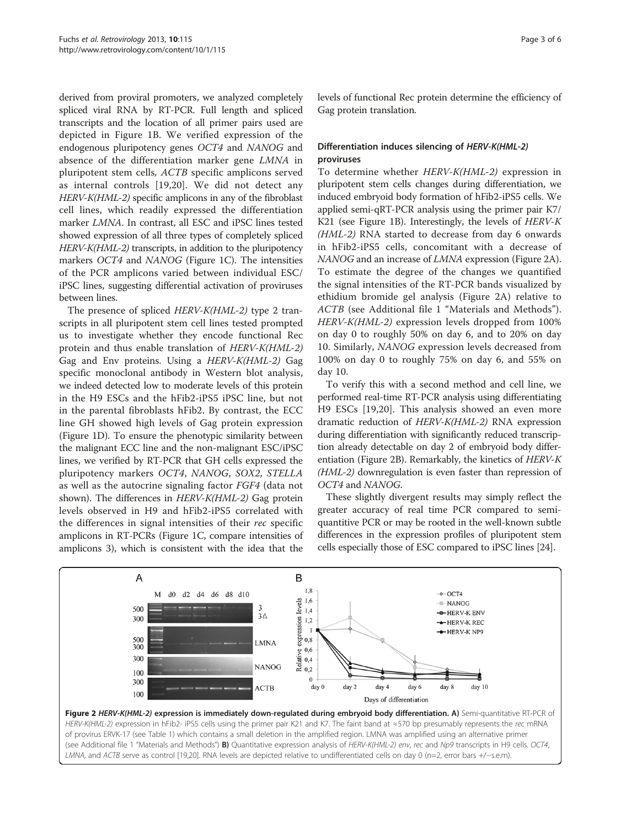derived from proviral promoters, we analyzed completely spliced viral RNA by RT-PCR. Full length and spliced transcripts and the location of all primer pairs used are depicted in Figure [1B](#page-1-0). We verified expression of the endogenous pluripotency genes OCT4 and NANOG and absence of the differentiation marker gene LMNA in pluripotent stem cells, ACTB specific amplicons served as internal controls [\[19,20\]](#page-5-0). We did not detect any HERV-K(HML-2) specific amplicons in any of the fibroblast cell lines, which readily expressed the differentiation marker LMNA. In contrast, all ESC and iPSC lines tested showed expression of all three types of completely spliced HERV-K(HML-2) transcripts, in addition to the pluripotency markers OCT4 and NANOG (Figure [1](#page-1-0)C). The intensities of the PCR amplicons varied between individual ESC/ iPSC lines, suggesting differential activation of proviruses between lines.

The presence of spliced HERV-K(HML-2) type 2 transcripts in all pluripotent stem cell lines tested prompted us to investigate whether they encode functional Rec protein and thus enable translation of HERV-K(HML-2) Gag and Env proteins. Using a HERV-K(HML-2) Gag specific monoclonal antibody in Western blot analysis, we indeed detected low to moderate levels of this protein in the H9 ESCs and the hFib2-iPS5 iPSC line, but not in the parental fibroblasts hFib2. By contrast, the ECC line GH showed high levels of Gag protein expression (Figure [1](#page-1-0)D). To ensure the phenotypic similarity between the malignant ECC line and the non-malignant ESC/iPSC lines, we verified by RT-PCR that GH cells expressed the pluripotency markers OCT4, NANOG, SOX2, STELLA as well as the autocrine signaling factor FGF4 (data not shown). The differences in HERV-K(HML-2) Gag protein levels observed in H9 and hFib2-iPS5 correlated with the differences in signal intensities of their rec specific amplicons in RT-PCRs (Figure [1C](#page-1-0), compare intensities of amplicons 3), which is consistent with the idea that the levels of functional Rec protein determine the efficiency of Gag protein translation.

## Differentiation induces silencing of HERV-K(HML-2) proviruses

To determine whether HERV-K(HML-2) expression in pluripotent stem cells changes during differentiation, we induced embryoid body formation of hFib2-iPS5 cells. We applied semi-qRT-PCR analysis using the primer pair K7/ K21 (see Figure [1](#page-1-0)B). Interestingly, the levels of HERV-K (HML-2) RNA started to decrease from day 6 onwards in hFib2-iPS5 cells, concomitant with a decrease of NANOG and an increase of LMNA expression (Figure 2A). To estimate the degree of the changes we quantified the signal intensities of the RT-PCR bands visualized by ethidium bromide gel analysis (Figure 2A) relative to ACTB (see Additional file [1](#page-4-0) "Materials and Methods"). HERV-K(HML-2) expression levels dropped from 100% on day 0 to roughly 50% on day 6, and to 20% on day 10. Similarly, NANOG expression levels decreased from 100% on day 0 to roughly 75% on day 6, and 55% on day 10.

To verify this with a second method and cell line, we performed real-time RT-PCR analysis using differentiating H9 ESCs [[19,20](#page-5-0)]. This analysis showed an even more dramatic reduction of HERV-K(HML-2) RNA expression during differentiation with significantly reduced transcription already detectable on day 2 of embryoid body differentiation (Figure 2B). Remarkably, the kinetics of HERV-K (HML-2) downregulation is even faster than repression of OCT4 and NANOG.

These slightly divergent results may simply reflect the greater accuracy of real time PCR compared to semiquantitive PCR or may be rooted in the well-known subtle differences in the expression profiles of pluripotent stem cells especially those of ESC compared to iPSC lines [\[24\]](#page-5-0).

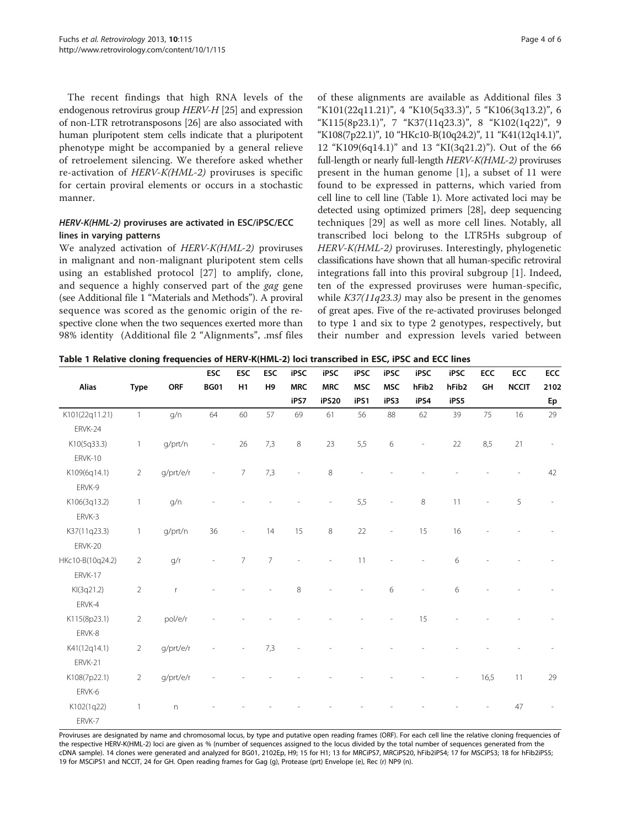<span id="page-3-0"></span>The recent findings that high RNA levels of the endogenous retrovirus group HERV-H [\[25](#page-5-0)] and expression of non-LTR retrotransposons [\[26\]](#page-5-0) are also associated with human pluripotent stem cells indicate that a pluripotent phenotype might be accompanied by a general relieve of retroelement silencing. We therefore asked whether re-activation of HERV-K(HML-2) proviruses is specific for certain proviral elements or occurs in a stochastic manner.

### HERV-K(HML-2) proviruses are activated in ESC/iPSC/ECC lines in varying patterns

We analyzed activation of HERV-K(HML-2) proviruses in malignant and non-malignant pluripotent stem cells using an established protocol [[27\]](#page-5-0) to amplify, clone, and sequence a highly conserved part of the gag gene (see Additional file [1](#page-4-0) "Materials and Methods"). A proviral sequence was scored as the genomic origin of the respective clone when the two sequences exerted more than 98% identity (Additional file [2](#page-4-0) "Alignments", .msf files

of these alignments are available as Additional files [3](#page-4-0) "K101(22q11.21)", [4](#page-4-0) "K10(5q33.3)", [5](#page-4-0) "K106(3q13.2)", [6](#page-4-0) "K115(8p23.1)", [7](#page-4-0) "K37(11q23.3)", [8](#page-4-0) "K102(1q22)", [9](#page-4-0) "K108(7p22.1)", [10](#page-4-0) "HKc10-B(10q24.2)", [11](#page-4-0) "K41(12q14.1)", [12](#page-4-0) "K109(6q14.1)" and [13](#page-4-0) "KI(3q21.2)"). Out of the 66 full-length or nearly full-length HERV-K(HML-2) proviruses present in the human genome [[1\]](#page-4-0), a subset of 11 were found to be expressed in patterns, which varied from cell line to cell line (Table 1). More activated loci may be detected using optimized primers [\[28\]](#page-5-0), deep sequencing techniques [[29](#page-5-0)] as well as more cell lines. Notably, all transcribed loci belong to the LTR5Hs subgroup of HERV-K(HML-2) proviruses. Interestingly, phylogenetic classifications have shown that all human-specific retroviral integrations fall into this proviral subgroup [[1](#page-4-0)]. Indeed, ten of the expressed proviruses were human-specific, while  $K37(11q23.3)$  may also be present in the genomes of great apes. Five of the re-activated proviruses belonged to type 1 and six to type 2 genotypes, respectively, but their number and expression levels varied between

Table 1 Relative cloning frequencies of HERV-K(HML-2) loci transcribed in ESC, iPSC and ECC lines

| <b>Alias</b>     | <b>Type</b>    | <b>ORF</b>     | ESC<br><b>BG01</b>       | <b>ESC</b><br>H1 | ESC<br>H <sub>9</sub> | iPSC<br><b>MRC</b><br>iPS7 | iPSC<br><b>MRC</b><br>iPS20 | iPSC<br><b>MSC</b><br>iPS1 | iPSC<br><b>MSC</b><br>iPS3 | iPSC<br>hFib <sub>2</sub><br>iPS4 | iPSC<br>hFib <sub>2</sub><br>iPS5 | ECC<br>GH | ECC<br><b>NCCIT</b> | ECC<br>2102<br>Ep |                |                |     |    |    |    |    |    |    |    |    |    |    |    |    |
|------------------|----------------|----------------|--------------------------|------------------|-----------------------|----------------------------|-----------------------------|----------------------------|----------------------------|-----------------------------------|-----------------------------------|-----------|---------------------|-------------------|----------------|----------------|-----|----|----|----|----|----|----|----|----|----|----|----|----|
|                  |                |                |                          |                  |                       |                            |                             |                            |                            |                                   |                                   |           |                     |                   | K101(22q11.21) | $\overline{1}$ | g/n | 64 | 60 | 57 | 69 | 61 | 56 | 88 | 62 | 39 | 75 | 16 | 29 |
|                  |                |                |                          |                  |                       |                            |                             |                            |                            |                                   |                                   |           |                     |                   | ERVK-24        |                |     |    |    |    |    |    |    |    |    |    |    |    |    |
| K10(5q33.3)      | $\mathbf{1}$   | g/prt/n        | $\overline{\phantom{a}}$ | 26               | 7,3                   | $\,8\,$                    | 23                          | 5,5                        | 6                          | $\frac{1}{2}$                     | 22                                | 8,5       | 21                  |                   |                |                |     |    |    |    |    |    |    |    |    |    |    |    |    |
| ERVK-10          |                |                |                          |                  |                       |                            |                             |                            |                            |                                   |                                   |           |                     |                   |                |                |     |    |    |    |    |    |    |    |    |    |    |    |    |
| K109(6q14.1)     | $\overline{2}$ | g/prt/e/r      |                          | $7^{\circ}$      | 7,3                   |                            | $\,8\,$                     |                            |                            |                                   |                                   |           |                     | 42                |                |                |     |    |    |    |    |    |    |    |    |    |    |    |    |
| ERVK-9           |                |                |                          |                  |                       |                            |                             |                            |                            |                                   |                                   |           |                     |                   |                |                |     |    |    |    |    |    |    |    |    |    |    |    |    |
| K106(3q13.2)     | $\mathbf{1}$   | g/n            |                          |                  |                       |                            | $\overline{\phantom{m}}$    | 5,5                        | L,                         | $\,8\,$                           | 11                                |           | 5                   |                   |                |                |     |    |    |    |    |    |    |    |    |    |    |    |    |
| ERVK-3           |                |                |                          |                  |                       |                            |                             |                            |                            |                                   |                                   |           |                     |                   |                |                |     |    |    |    |    |    |    |    |    |    |    |    |    |
| K37(11q23.3)     | $\mathbf{1}$   | g/prt/n        | 36                       |                  | 14                    | 15                         | $\,8\,$                     | 22                         |                            | 15                                | 16                                |           |                     |                   |                |                |     |    |    |    |    |    |    |    |    |    |    |    |    |
| ERVK-20          |                |                |                          |                  |                       |                            |                             |                            |                            |                                   |                                   |           |                     |                   |                |                |     |    |    |    |    |    |    |    |    |    |    |    |    |
| HKc10-B(10q24.2) | $\overline{2}$ | g/r            |                          | $\overline{7}$   | $\overline{7}$        |                            |                             | 11                         |                            | L,                                | 6                                 |           |                     |                   |                |                |     |    |    |    |    |    |    |    |    |    |    |    |    |
| ERVK-17          |                |                |                          |                  |                       |                            |                             |                            |                            |                                   |                                   |           |                     |                   |                |                |     |    |    |    |    |    |    |    |    |    |    |    |    |
| KI(3q21.2)       | $\overline{2}$ | $\mathsf r$    |                          |                  |                       | 8                          |                             |                            | 6                          | L,                                | 6                                 |           |                     |                   |                |                |     |    |    |    |    |    |    |    |    |    |    |    |    |
| ERVK-4           |                |                |                          |                  |                       |                            |                             |                            |                            |                                   |                                   |           |                     |                   |                |                |     |    |    |    |    |    |    |    |    |    |    |    |    |
| K115(8p23.1)     | $\overline{2}$ | pol/e/r        |                          |                  |                       |                            |                             |                            |                            | 15                                |                                   |           |                     |                   |                |                |     |    |    |    |    |    |    |    |    |    |    |    |    |
| ERVK-8           |                |                |                          |                  |                       |                            |                             |                            |                            |                                   |                                   |           |                     |                   |                |                |     |    |    |    |    |    |    |    |    |    |    |    |    |
| K41(12q14.1)     | $\overline{2}$ | g/prt/e/r      |                          |                  | 7,3                   |                            |                             |                            |                            |                                   |                                   |           |                     |                   |                |                |     |    |    |    |    |    |    |    |    |    |    |    |    |
| ERVK-21          |                |                |                          |                  |                       |                            |                             |                            |                            |                                   |                                   |           |                     |                   |                |                |     |    |    |    |    |    |    |    |    |    |    |    |    |
| K108(7p22.1)     | $\overline{2}$ | g/prt/e/r      |                          |                  |                       |                            |                             |                            |                            |                                   |                                   | 16,5      | 11                  | 29                |                |                |     |    |    |    |    |    |    |    |    |    |    |    |    |
| ERVK-6           |                |                |                          |                  |                       |                            |                             |                            |                            |                                   |                                   |           |                     |                   |                |                |     |    |    |    |    |    |    |    |    |    |    |    |    |
| K102(1q22)       | $\mathbf{1}$   | $\overline{n}$ |                          |                  |                       |                            |                             |                            |                            |                                   |                                   |           | 47                  |                   |                |                |     |    |    |    |    |    |    |    |    |    |    |    |    |
| ERVK-7           |                |                |                          |                  |                       |                            |                             |                            |                            |                                   |                                   |           |                     |                   |                |                |     |    |    |    |    |    |    |    |    |    |    |    |    |

Proviruses are designated by name and chromosomal locus, by type and putative open reading frames (ORF). For each cell line the relative cloning frequencies of the respective HERV-K(HML-2) loci are given as % (number of sequences assigned to the locus divided by the total number of sequences generated from the cDNA sample). 14 clones were generated and analyzed for BG01, 2102Ep, H9; 15 for H1; 13 for MRCiPS7, MRCiPS20, hFib2iPS4; 17 for MSCiPS3; 18 for hFib2iPS5; 19 for MSCiPS1 and NCCIT, 24 for GH. Open reading frames for Gag (g), Protease (prt) Envelope (e), Rec (r) NP9 (n).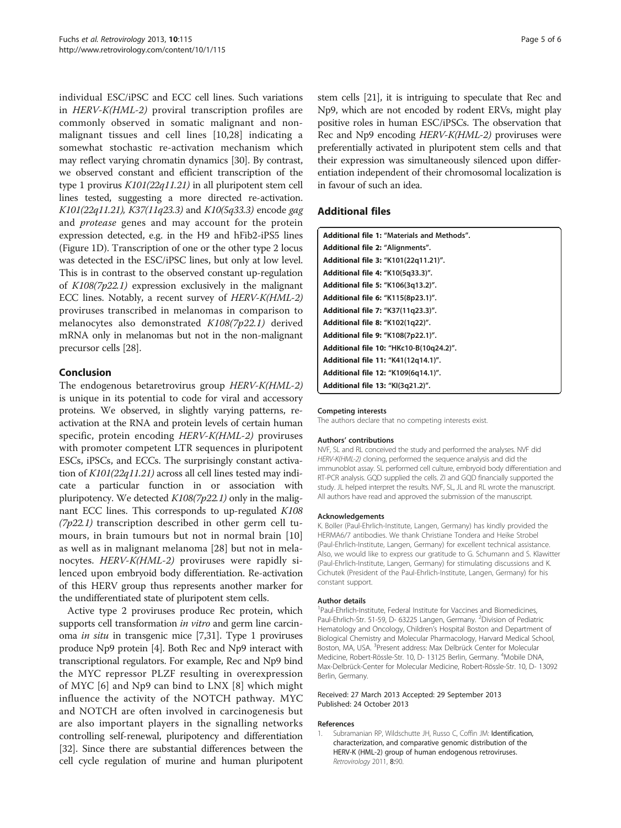<span id="page-4-0"></span>individual ESC/iPSC and ECC cell lines. Such variations in HERV-K(HML-2) proviral transcription profiles are commonly observed in somatic malignant and nonmalignant tissues and cell lines [\[10](#page-5-0),[28\]](#page-5-0) indicating a somewhat stochastic re-activation mechanism which may reflect varying chromatin dynamics [[30](#page-5-0)]. By contrast, we observed constant and efficient transcription of the type 1 provirus K101(22q11.21) in all pluripotent stem cell lines tested, suggesting a more directed re-activation. K101(22q11.21), K37(11q23.3) and K10(5q33.3) encode gag and protease genes and may account for the protein expression detected, e.g. in the H9 and hFib2-iPS5 lines (Figure [1](#page-1-0)D). Transcription of one or the other type 2 locus was detected in the ESC/iPSC lines, but only at low level. This is in contrast to the observed constant up-regulation of K108(7p22.1) expression exclusively in the malignant ECC lines. Notably, a recent survey of HERV-K(HML-2) proviruses transcribed in melanomas in comparison to melanocytes also demonstrated K108(7p22.1) derived mRNA only in melanomas but not in the non-malignant precursor cells [[28](#page-5-0)].

## Conclusion

The endogenous betaretrovirus group HERV-K(HML-2) is unique in its potential to code for viral and accessory proteins. We observed, in slightly varying patterns, reactivation at the RNA and protein levels of certain human specific, protein encoding HERV-K(HML-2) proviruses with promoter competent LTR sequences in pluripotent ESCs, iPSCs, and ECCs. The surprisingly constant activation of K101(22q11.21) across all cell lines tested may indicate a particular function in or association with pluripotency. We detected  $K108(7p22.1)$  only in the malignant ECC lines. This corresponds to up-regulated K108  $(7p22.1)$  transcription described in other germ cell tumours, in brain tumours but not in normal brain [\[10](#page-5-0)] as well as in malignant melanoma [\[28](#page-5-0)] but not in melanocytes. HERV-K(HML-2) proviruses were rapidly silenced upon embryoid body differentiation. Re-activation of this HERV group thus represents another marker for the undifferentiated state of pluripotent stem cells.

Active type 2 proviruses produce Rec protein, which supports cell transformation *in vitro* and germ line carcinoma in situ in transgenic mice [\[7,31](#page-5-0)]. Type 1 proviruses produce Np9 protein [\[4\]](#page-5-0). Both Rec and Np9 interact with transcriptional regulators. For example, Rec and Np9 bind the MYC repressor PLZF resulting in overexpression of MYC [[6\]](#page-5-0) and Np9 can bind to LNX [[8](#page-5-0)] which might influence the activity of the NOTCH pathway. MYC and NOTCH are often involved in carcinogenesis but are also important players in the signalling networks controlling self-renewal, pluripotency and differentiation [[32](#page-5-0)]. Since there are substantial differences between the cell cycle regulation of murine and human pluripotent stem cells [[21\]](#page-5-0), it is intriguing to speculate that Rec and Np9, which are not encoded by rodent ERVs, might play positive roles in human ESC/iPSCs. The observation that Rec and Np9 encoding HERV-K(HML-2) proviruses were preferentially activated in pluripotent stem cells and that their expression was simultaneously silenced upon differentiation independent of their chromosomal localization is in favour of such an idea.

## Additional files

| Additional file 1: "Materials and Methods". |
|---------------------------------------------|
| Additional file 2: "Alignments".            |
| Additional file 3: "K101(22q11.21)".        |
| Additional file 4: "K10(5q33.3)".           |
| Additional file 5: "K106(3q13.2)".          |
| Additional file 6: "K115(8p23.1)".          |
| Additional file 7: "K37(11q23.3)".          |
| <b>Additional file 8: "K102(1q22)".</b>     |
| Additional file 9: "K108(7p22.1)".          |
| Additional file 10: "HKc10-B(10q24.2)".     |
| Additional file 11: "K41(12q14.1)".         |
| Additional file 12: "K109(6q14.1)".         |
| Additional file 13: "KI(3q21.2)".           |

#### Competing interests

The authors declare that no competing interests exist.

#### Authors' contributions

NVF, SL and RL conceived the study and performed the analyses. NVF did HERV-K(HML-2) cloning, performed the sequence analysis and did the immunoblot assay. SL performed cell culture, embryoid body differentiation and RT-PCR analysis. GQD supplied the cells. ZI and GQD financially supported the study. JL helped interpret the results. NVF, SL, JL and RL wrote the manuscript. All authors have read and approved the submission of the manuscript.

#### Acknowledgements

K. Boller (Paul-Ehrlich-Institute, Langen, Germany) has kindly provided the HERMA6/7 antibodies. We thank Christiane Tondera and Heike Strobel (Paul-Ehrlich-Institute, Langen, Germany) for excellent technical assistance. Also, we would like to express our gratitude to G. Schumann and S. Klawitter (Paul-Ehrlich-Institute, Langen, Germany) for stimulating discussions and K. Cichutek (President of the Paul-Ehrlich-Institute, Langen, Germany) for his constant support.

#### Author details

<sup>1</sup>Paul-Ehrlich-Institute, Federal Institute for Vaccines and Biomedicines, Paul-Ehrlich-Str. 51-59, D- 63225 Langen, Germany. <sup>2</sup>Division of Pediatric Hematology and Oncology, Children's Hospital Boston and Department of Biological Chemistry and Molecular Pharmacology, Harvard Medical School, Boston, MA, USA. <sup>3</sup>Present address: Max Delbrück Center for Molecular Medicine, Robert-Rössle-Str. 10, D- 13125 Berlin, Germany. <sup>4</sup>Mobile DNA, Max-Delbrück-Center for Molecular Medicine, Robert-Rössle-Str. 10, D- 13092 Berlin, Germany.

#### Received: 27 March 2013 Accepted: 29 September 2013 Published: 24 October 2013

#### References

1. Subramanian RP, Wildschutte JH, Russo C, Coffin JM: Identification, characterization, and comparative genomic distribution of the HERV-K (HML-2) group of human endogenous retroviruses. Retrovirology 2011, 8:90.